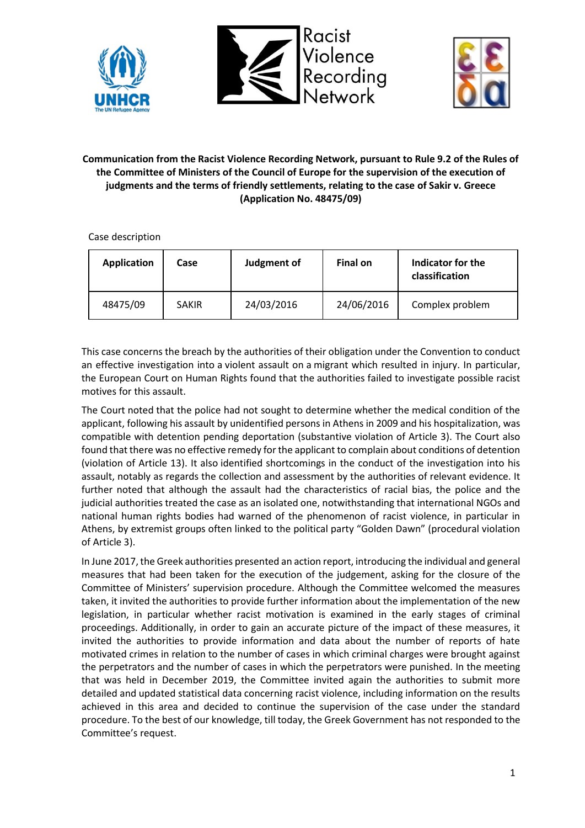





# **Communication from the Racist Violence Recording Network, pursuant to Rule 9.2 of the Rules of the Committee of Ministers of the Council of Europe for the supervision of the execution of judgments and the terms of friendly settlements, relating to the case of Sakir v. Greece (Application No. 48475/09)**

Case description

| <b>Application</b> | Case         | Judgment of | Final on   | Indicator for the<br>classification |
|--------------------|--------------|-------------|------------|-------------------------------------|
| 48475/09           | <b>SAKIR</b> | 24/03/2016  | 24/06/2016 | Complex problem                     |

This case concerns the breach by the authorities of their obligation under the Convention to conduct an effective investigation into a violent assault on a migrant which resulted in injury. In particular, the European Court on Human Rights found that the authorities failed to investigate possible racist motives for this assault.

The Court noted that the police had not sought to determine whether the medical condition of the applicant, following his assault by unidentified persons in Athens in 2009 and his hospitalization, was compatible with detention pending deportation (substantive violation of Article 3). The Court also found that there was no effective remedy for the applicant to complain about conditions of detention (violation of Article 13). It also identified shortcomings in the conduct of the investigation into his assault, notably as regards the collection and assessment by the authorities of relevant evidence. It further noted that although the assault had the characteristics of racial bias, the police and the judicial authorities treated the case as an isolated one, notwithstanding that international NGOs and national human rights bodies had warned of the phenomenon of racist violence, in particular in Athens, by extremist groups often linked to the political party "Golden Dawn" (procedural violation of Article 3).

In June 2017, the Greek authorities presented an action report, introducing the individual and general measures that had been taken for the execution of the judgement, asking for the closure of the Committee of Ministers' supervision procedure. Although the Committee welcomed the measures taken, it invited the authorities to provide further information about the implementation of the new legislation, in particular whether racist motivation is examined in the early stages of criminal proceedings. Additionally, in order to gain an accurate picture of the impact of these measures, it invited the authorities to provide information and data about the number of reports of hate motivated crimes in relation to the number of cases in which criminal charges were brought against the perpetrators and the number of cases in which the perpetrators were punished. In the meeting that was held in December 2019, the Committee invited again the authorities to submit more detailed and updated statistical data concerning racist violence, including information on the results achieved in this area and decided to continue the supervision of the case under the standard procedure. To the best of our knowledge, till today, the Greek Government has not responded to the Committee's request.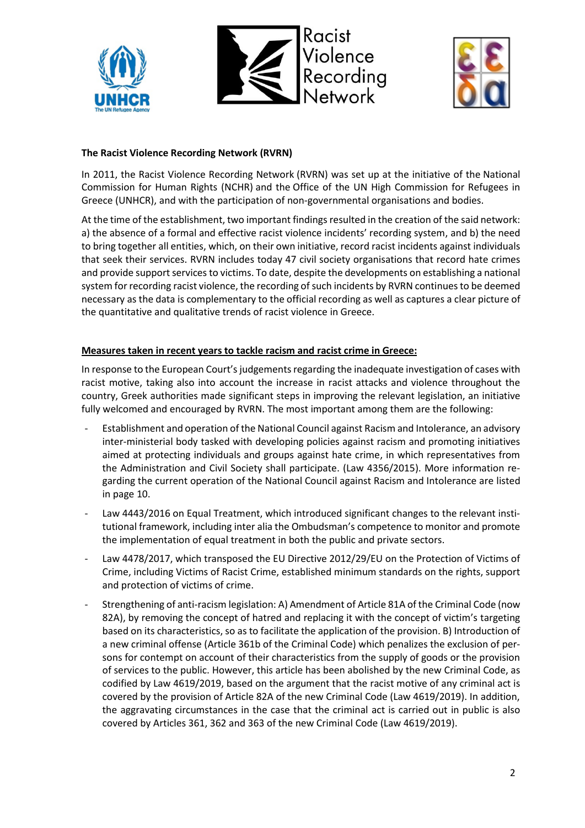





### **The Racist Violence Recording Network (RVRN)**

In 2011, the Racist Violence Recording Network (RVRN) was set up at the initiative of the National Commission for Human Rights (NCHR) and the Office of the UN High Commission for Refugees in Greece (UNHCR), and with the participation of non-governmental organisations and bodies.

At the time of the establishment, two important findings resulted in the creation of the said network: a) the absence of a formal and effective racist violence incidents' recording system, and b) the need to bring together all entities, which, on their own initiative, record racist incidents against individuals that seek their services. RVRN includes today 47 civil society organisations that record hate crimes and provide support services to victims. To date, despite the developments on establishing a national system for recording racist violence, the recording of such incidents by RVRN continues to be deemed necessary as the data is complementary to the official recording as well as captures a clear picture of the quantitative and qualitative trends of racist violence in Greece.

### **Measures taken in recent years to tackle racism and racist crime in Greece:**

In response to the European Court's judgements regarding the inadequate investigation of cases with racist motive, taking also into account the increase in racist attacks and violence throughout the country, Greek authorities made significant steps in improving the relevant legislation, an initiative fully welcomed and encouraged by RVRN. The most important among them are the following:

- Establishment and operation of the National Council against Racism and Intolerance, an advisory inter-ministerial body tasked with developing policies against racism and promoting initiatives aimed at protecting individuals and groups against hate crime, in which representatives from the Administration and Civil Society shall participate. (Law 4356/2015). More information regarding the current operation of the National Council against Racism and Intolerance are listed in page 10.
- Law 4443/2016 on Equal Treatment, which introduced significant changes to the relevant institutional framework, including inter alia the Ombudsman's competence to monitor and promote the implementation of equal treatment in both the public and private sectors.
- Law 4478/2017, which transposed the EU Directive 2012/29/EU on the Protection of Victims of Crime, including Victims of Racist Crime, established minimum standards on the rights, support and protection of victims of crime.
- Strengthening of anti-racism legislation: A) Amendment of Article 81A of the Criminal Code (now 82A), by removing the concept of hatred and replacing it with the concept of victim's targeting based on its characteristics, so as to facilitate the application of the provision. B) Introduction of a new criminal offense (Article 361b of the Criminal Code) which penalizes the exclusion of persons for contempt on account of their characteristics from the supply of goods or the provision of services to the public. However, this article has been abolished by the new Criminal Code, as codified by Law 4619/2019, based on the argument that the racist motive of any criminal act is covered by the provision of Article 82A of the new Criminal Code (Law 4619/2019). In addition, the aggravating circumstances in the case that the criminal act is carried out in public is also covered by Articles 361, 362 and 363 of the new Criminal Code (Law 4619/2019).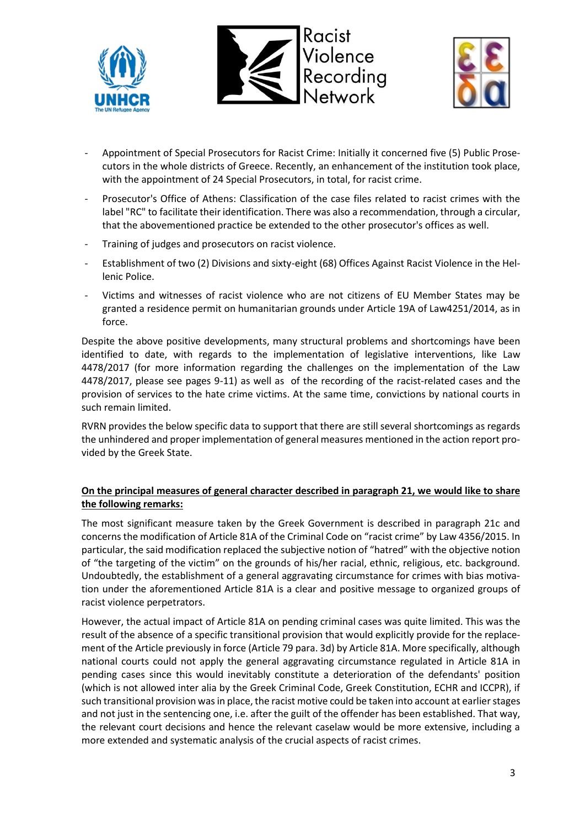





- Appointment of Special Prosecutors for Racist Crime: Initially it concerned five (5) Public Prosecutors in the whole districts of Greece. Recently, an enhancement of the institution took place, with the appointment of 24 Special Prosecutors, in total, for racist crime.
- Prosecutor's Office of Athens: Classification of the case files related to racist crimes with the label "RC" to facilitate their identification. There was also a recommendation, through a circular, that the abovementioned practice be extended to the other prosecutor's offices as well.
- Training of judges and prosecutors on racist violence.
- Establishment of two (2) Divisions and sixty-eight (68) Offices Against Racist Violence in the Hellenic Police.
- Victims and witnesses of racist violence who are not citizens of EU Member States may be granted a residence permit on humanitarian grounds under Article 19A of Law4251/2014, as in force.

Despite the above positive developments, many structural problems and shortcomings have been identified to date, with regards to the implementation of legislative interventions, like Law 4478/2017 (for more information regarding the challenges on the implementation of the Law 4478/2017, please see pages 9-11) as well as of the recording of the racist-related cases and the provision of services to the hate crime victims. At the same time, convictions by national courts in such remain limited.

RVRN provides the below specific data to support that there are still several shortcomings as regards the unhindered and proper implementation of general measures mentioned in the action report provided by the Greek State.

### **On the principal measures of general character described in paragraph 21, we would like to share the following remarks:**

The most significant measure taken by the Greek Government is described in paragraph 21c and concerns the modification of Article 81A of the Criminal Code on "racist crime" by Law 4356/2015. In particular, the said modification replaced the subjective notion of "hatred" with the objective notion of "the targeting of the victim" on the grounds of his/her racial, ethnic, religious, etc. background. Undoubtedly, the establishment of a general aggravating circumstance for crimes with bias motivation under the aforementioned Article 81A is a clear and positive message to organized groups of racist violence perpetrators.

However, the actual impact of Article 81A on pending criminal cases was quite limited. This was the result of the absence of a specific transitional provision that would explicitly provide for the replacement of the Article previously in force (Article 79 para. 3d) by Article 81A. More specifically, although national courts could not apply the general aggravating circumstance regulated in Article 81A in pending cases since this would inevitably constitute a deterioration of the defendants' position (which is not allowed inter alia by the Greek Criminal Code, Greek Constitution, ECHR and ICCPR), if such transitional provision was in place, the racist motive could be taken into account at earlier stages and not just in the sentencing one, i.e. after the guilt of the offender has been established. That way, the relevant court decisions and hence the relevant caselaw would be more extensive, including a more extended and systematic analysis of the crucial aspects of racist crimes.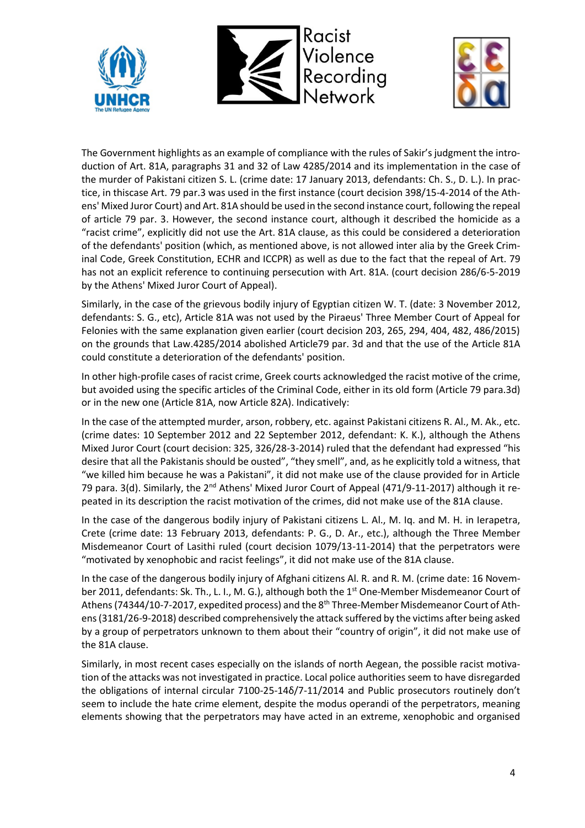





The Government highlights as an example of compliance with the rules of Sakir's judgment the introduction of Art. 81A, paragraphs 31 and 32 of Law 4285/2014 and its implementation in the case of the murder of Pakistani citizen S. L. (crime date: 17 January 2013, defendants: Ch. S., D. L.). In practice, in thiscase Art. 79 par.3 was used in the first instance (court decision 398/15-4-2014 of the Athens' Mixed Juror Court) and Art. 81A should be used in the second instance court, following the repeal of article 79 par. 3. However, the second instance court, although it described the homicide as a "racist crime", explicitly did not use the Art. 81A clause, as this could be considered a deterioration of the defendants' position (which, as mentioned above, is not allowed inter alia by the Greek Criminal Code, Greek Constitution, ECHR and ICCPR) as well as due to the fact that the repeal of Art. 79 has not an explicit reference to continuing persecution with Art. 81A. (court decision 286/6-5-2019 by the Athens' Mixed Juror Court of Appeal).

Similarly, in the case of the grievous bodily injury of Egyptian citizen W. T. (date: 3 November 2012, defendants: S. G., etc), Article 81A was not used by the Piraeus' Three Member Court of Appeal for Felonies with the same explanation given earlier (court decision 203, 265, 294, 404, 482, 486/2015) on the grounds that Law.4285/2014 abolished Article79 par. 3d and that the use of the Article 81A could constitute a deterioration of the defendants' position.

In other high-profile cases of racist crime, Greek courts acknowledged the racist motive of the crime, but avoided using the specific articles of the Criminal Code, either in its old form (Article 79 para.3d) or in the new one (Article 81A, now Article 82A). Indicatively:

In the case of the attempted murder, arson, robbery, etc. against Pakistani citizens R. Al., M. Ak., etc. (crime dates: 10 September 2012 and 22 September 2012, defendant: K. K.), although the Athens Mixed Juror Court (court decision: 325, 326/28-3-2014) ruled that the defendant had expressed "his desire that all the Pakistanis should be ousted", "they smell", and, as he explicitly told a witness, that "we killed him because he was a Pakistani", it did not make use of the clause provided for in Article 79 para. 3(d). Similarly, the 2<sup>nd</sup> Athens' Mixed Juror Court of Appeal (471/9-11-2017) although it repeated in its description the racist motivation of the crimes, did not make use of the 81A clause.

In the case of the dangerous bodily injury of Pakistani citizens L. Al., M. Iq. and M. H. in Ierapetra, Crete (crime date: 13 February 2013, defendants: P. G., D. Ar., etc.), although the Three Member Misdemeanor Court of Lasithi ruled (court decision 1079/13-11-2014) that the perpetrators were "motivated by xenophobic and racist feelings", it did not make use of the 81A clause.

In the case of the dangerous bodily injury of Afghani citizens Al. R. and R. M. (crime date: 16 November 2011, defendants: Sk. Th., L. I., M. G.), although both the 1<sup>st</sup> One-Member Misdemeanor Court of Athens (74344/10-7-2017, expedited process) and the 8<sup>th</sup> Three-Member Misdemeanor Court of Athens (3181/26-9-2018) described comprehensively the attack suffered by the victims after being asked by a group of perpetrators unknown to them about their "country of origin", it did not make use of the 81A clause.

Similarly, in most recent cases especially on the islands of north Aegean, the possible racist motivation of the attacks was not investigated in practice. Local police authorities seem to have disregarded the obligations of internal circular 7100-25-14δ/7-11/2014 and Public prosecutors routinely don't seem to include the hate crime element, despite the modus operandi of the perpetrators, meaning elements showing that the perpetrators may have acted in an extreme, xenophobic and organised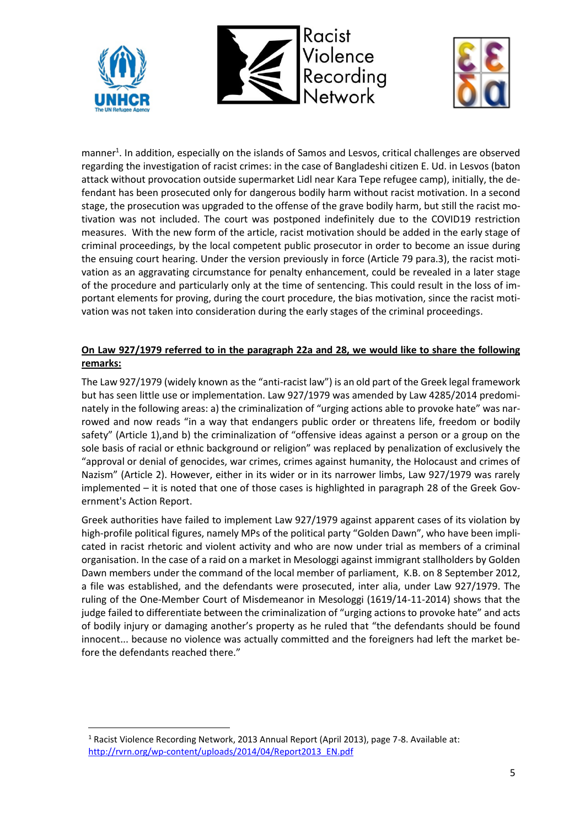





manner<sup>1</sup>. In addition, especially on the islands of Samos and Lesvos, critical challenges are observed regarding the investigation of racist crimes: in the case of Bangladeshi citizen E. Ud. in Lesvos (baton attack without provocation outside supermarket Lidl near Kara Tepe refugee camp), initially, the defendant has been prosecuted only for dangerous bodily harm without racist motivation. In a second stage, the prosecution was upgraded to the offense of the grave bodily harm, but still the racist motivation was not included. The court was postponed indefinitely due to the COVID19 restriction measures. With the new form of the article, racist motivation should be added in the early stage of criminal proceedings, by the local competent public prosecutor in order to become an issue during the ensuing court hearing. Under the version previously in force (Article 79 para.3), the racist motivation as an aggravating circumstance for penalty enhancement, could be revealed in a later stage of the procedure and particularly only at the time of sentencing. This could result in the loss of important elements for proving, during the court procedure, the bias motivation, since the racist motivation was not taken into consideration during the early stages of the criminal proceedings.

## **On Law 927/1979 referred to in the paragraph 22a and 28, we would like to share the following remarks:**

The Law 927/1979 (widely known as the "anti-racist law") is an old part of the Greek legal framework but has seen little use or implementation. Law 927/1979 was amended by Law 4285/2014 predominately in the following areas: a) the criminalization of "urging actions able to provoke hate" was narrowed and now reads "in a way that endangers public order or threatens life, freedom or bodily safety" (Article 1),and b) the criminalization of "offensive ideas against a person or a group on the sole basis of racial or ethnic background or religion" was replaced by penalization of exclusively the "approval or denial of genocides, war crimes, crimes against humanity, the Holocaust and crimes of Nazism" (Article 2). However, either in its wider or in its narrower limbs, Law 927/1979 was rarely implemented – it is noted that one of those cases is highlighted in paragraph 28 of the Greek Government's Action Report.

Greek authorities have failed to implement Law 927/1979 against apparent cases of its violation by high-profile political figures, namely MPs of the political party "Golden Dawn", who have been implicated in racist rhetoric and violent activity and who are now under trial as members of a criminal organisation. In the case of a raid on a market in Mesologgi against immigrant stallholders by Golden Dawn members under the command of the local member of parliament, K.B. on 8 September 2012, a file was established, and the defendants were prosecuted, inter alia, under Law 927/1979. The ruling of the One-Member Court of Misdemeanor in Mesologgi (1619/14-11-2014) shows that the judge failed to differentiate between the criminalization of "urging actions to provoke hate" and acts of bodily injury or damaging another's property as he ruled that "the defendants should be found innocent... because no violence was actually committed and the foreigners had left the market before the defendants reached there."

<sup>1</sup> Racist Violence Recording Network, 2013 Annual Report (April 2013), page 7-8. Available at: [http://rvrn.org/wp-content/uploads/2014/04/Report2013\\_EN.pdf](http://rvrn.org/wp-content/uploads/2014/04/Report2013_EN.pdf)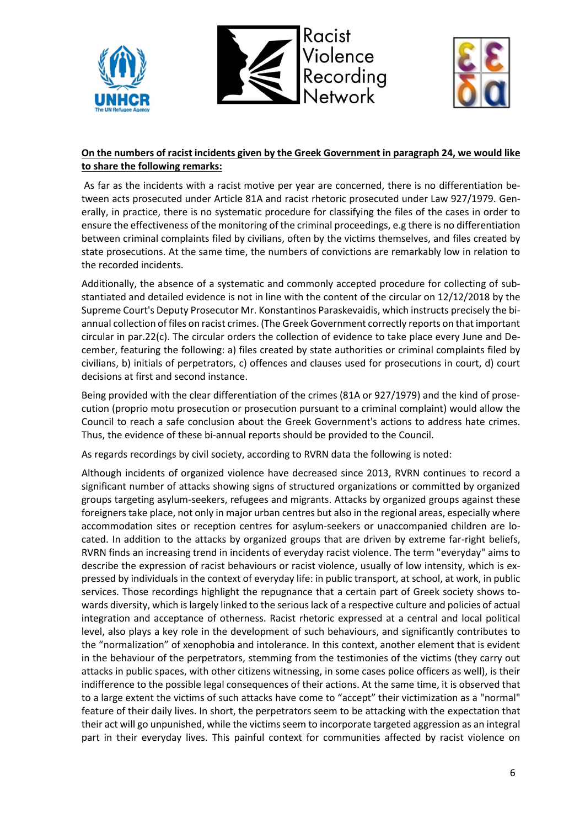





### **On the numbers of racist incidents given by the Greek Government in paragraph 24, we would like to share the following remarks:**

As far as the incidents with a racist motive per year are concerned, there is no differentiation between acts prosecuted under Article 81A and racist rhetoric prosecuted under Law 927/1979. Generally, in practice, there is no systematic procedure for classifying the files of the cases in order to ensure the effectiveness of the monitoring of the criminal proceedings, e.g there is no differentiation between criminal complaints filed by civilians, often by the victims themselves, and files created by state prosecutions. At the same time, the numbers of convictions are remarkably low in relation to the recorded incidents.

Additionally, the absence of a systematic and commonly accepted procedure for collecting of substantiated and detailed evidence is not in line with the content of the circular on 12/12/2018 by the Supreme Court's Deputy Prosecutor Mr. Konstantinos Paraskevaidis, which instructs precisely the biannual collection of files on racist crimes. (The Greek Government correctly reports on that important circular in par.22(c). The circular orders the collection of evidence to take place every June and December, featuring the following: a) files created by state authorities or criminal complaints filed by civilians, b) initials of perpetrators, c) offences and clauses used for prosecutions in court, d) court decisions at first and second instance.

Being provided with the clear differentiation of the crimes (81A or 927/1979) and the kind of prosecution (proprio motu prosecution or prosecution pursuant to a criminal complaint) would allow the Council to reach a safe conclusion about the Greek Government's actions to address hate crimes. Thus, the evidence of these bi-annual reports should be provided to the Council.

As regards recordings by civil society, according to RVRN data the following is noted:

Although incidents of organized violence have decreased since 2013, RVRN continues to record a significant number of attacks showing signs of structured organizations or committed by organized groups targeting asylum-seekers, refugees and migrants. Attacks by organized groups against these foreigners take place, not only in major urban centres but also in the regional areas, especially where accommodation sites or reception centres for asylum-seekers or unaccompanied children are located. In addition to the attacks by organized groups that are driven by extreme far-right beliefs, RVRN finds an increasing trend in incidents of everyday racist violence. The term "everyday" aims to describe the expression of racist behaviours or racist violence, usually of low intensity, which is expressed by individuals in the context of everyday life: in public transport, at school, at work, in public services. Those recordings highlight the repugnance that a certain part of Greek society shows towards diversity, which is largely linked to the serious lack of a respective culture and policies of actual integration and acceptance of otherness. Racist rhetoric expressed at a central and local political level, also plays a key role in the development of such behaviours, and significantly contributes to the "normalization" of xenophobia and intolerance. In this context, another element that is evident in the behaviour of the perpetrators, stemming from the testimonies of the victims (they carry out attacks in public spaces, with other citizens witnessing, in some cases police officers as well), is their indifference to the possible legal consequences of their actions. At the same time, it is observed that to a large extent the victims of such attacks have come to "accept" their victimization as a "normal" feature of their daily lives. In short, the perpetrators seem to be attacking with the expectation that their act will go unpunished, while the victims seem to incorporate targeted aggression as an integral part in their everyday lives. This painful context for communities affected by racist violence on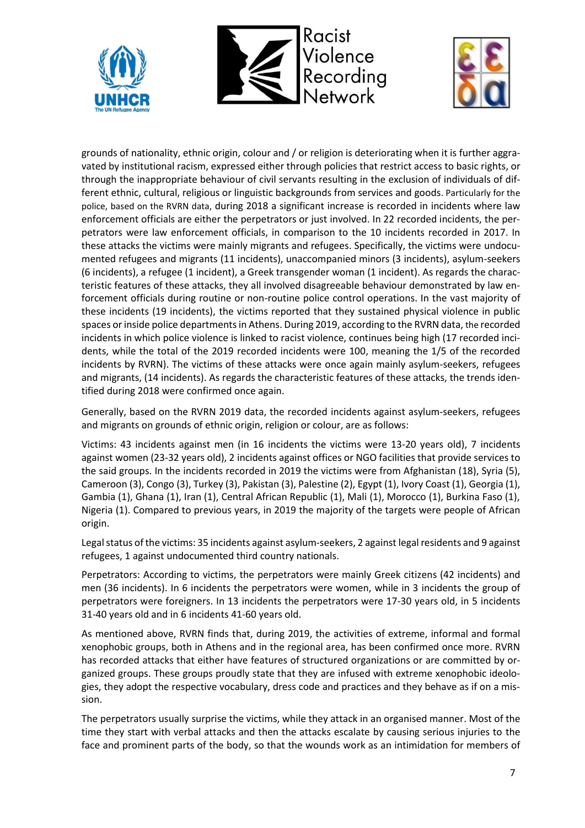





grounds of nationality, ethnic origin, colour and / or religion is deteriorating when it is further aggravated by institutional racism, expressed either through policies that restrict access to basic rights, or through the inappropriate behaviour of civil servants resulting in the exclusion of individuals of different ethnic, cultural, religious or linguistic backgrounds from services and goods. Particularly for the police, based on the RVRN data, during 2018 a significant increase is recorded in incidents where law enforcement officials are either the perpetrators or just involved. In 22 recorded incidents, the perpetrators were law enforcement officials, in comparison to the 10 incidents recorded in 2017. In these attacks the victims were mainly migrants and refugees. Specifically, the victims were undocumented refugees and migrants (11 incidents), unaccompanied minors (3 incidents), asylum-seekers (6 incidents), a refugee (1 incident), a Greek transgender woman (1 incident). As regards the characteristic features of these attacks, they all involved disagreeable behaviour demonstrated by law enforcement officials during routine or non-routine police control operations. In the vast majority of these incidents (19 incidents), the victims reported that they sustained physical violence in public spaces or inside police departments in Athens. During 2019, according to the RVRN data, the recorded incidents in which police violence is linked to racist violence, continues being high (17 recorded incidents, while the total of the 2019 recorded incidents were 100, meaning the 1/5 of the recorded incidents by RVRN). The victims of these attacks were once again mainly asylum-seekers, refugees and migrants, (14 incidents). As regards the characteristic features of these attacks, the trends identified during 2018 were confirmed once again.

Generally, based on the RVRN 2019 data, the recorded incidents against asylum-seekers, refugees and migrants on grounds of ethnic origin, religion or colour, are as follows:

Victims: 43 incidents against men (in 16 incidents the victims were 13-20 years old), 7 incidents against women (23-32 years old), 2 incidents against offices or NGO facilities that provide services to the said groups. In the incidents recorded in 2019 the victims were from Afghanistan (18), Syria (5), Cameroon (3), Congo (3), Turkey (3), Pakistan (3), Palestine (2), Egypt (1), Ivory Coast (1), Georgia (1), Gambia (1), Ghana (1), Iran (1), Central African Republic (1), Mali (1), Morocco (1), Burkina Faso (1), Nigeria (1). Compared to previous years, in 2019 the majority of the targets were people of African origin.

Legal status of the victims: 35 incidents against asylum-seekers, 2 against legal residents and 9 against refugees, 1 against undocumented third country nationals.

Perpetrators: According to victims, the perpetrators were mainly Greek citizens (42 incidents) and men (36 incidents). In 6 incidents the perpetrators were women, while in 3 incidents the group of perpetrators were foreigners. In 13 incidents the perpetrators were 17-30 years old, in 5 incidents 31-40 years old and in 6 incidents 41-60 years old.

As mentioned above, RVRN finds that, during 2019, the activities of extreme, informal and formal xenophobic groups, both in Athens and in the regional area, has been confirmed once more. RVRN has recorded attacks that either have features of structured organizations or are committed by organized groups. These groups proudly state that they are infused with extreme xenophobic ideologies, they adopt the respective vocabulary, dress code and practices and they behave as if on a mission.

The perpetrators usually surprise the victims, while they attack in an organised manner. Most of the time they start with verbal attacks and then the attacks escalate by causing serious injuries to the face and prominent parts of the body, so that the wounds work as an intimidation for members of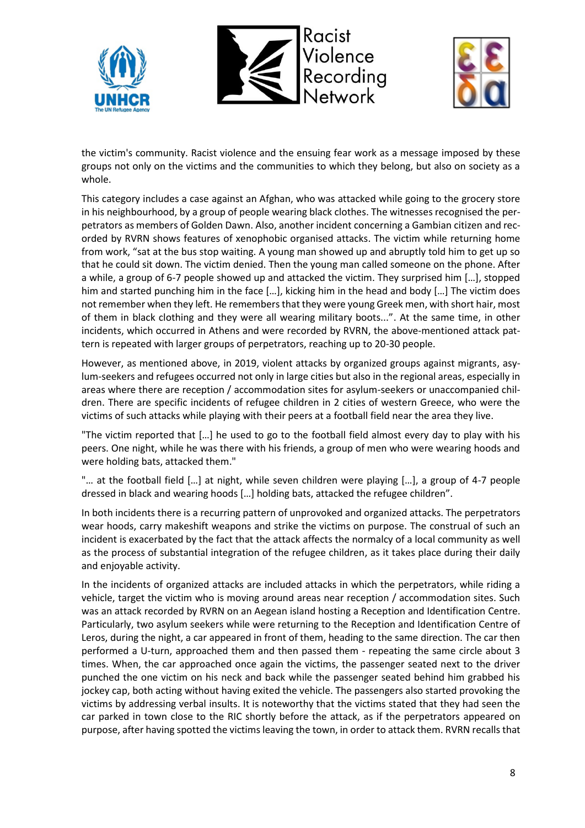





the victim's community. Racist violence and the ensuing fear work as a message imposed by these groups not only on the victims and the communities to which they belong, but also on society as a whole.

This category includes a case against an Afghan, who was attacked while going to the grocery store in his neighbourhood, by a group of people wearing black clothes. The witnesses recognised the perpetrators as members of Golden Dawn. Also, another incident concerning a Gambian citizen and recorded by RVRN shows features of xenophobic organised attacks. The victim while returning home from work, "sat at the bus stop waiting. A young man showed up and abruptly told him to get up so that he could sit down. The victim denied. Then the young man called someone on the phone. After a while, a group of 6-7 people showed up and attacked the victim. They surprised him […], stopped him and started punching him in the face [...], kicking him in the head and body [...] The victim does not remember when they left. He remembers that they were young Greek men, with short hair, most of them in black clothing and they were all wearing military boots...". At the same time, in other incidents, which occurred in Athens and were recorded by RVRN, the above-mentioned attack pattern is repeated with larger groups of perpetrators, reaching up to 20-30 people.

However, as mentioned above, in 2019, violent attacks by organized groups against migrants, asylum-seekers and refugees occurred not only in large cities but also in the regional areas, especially in areas where there are reception / accommodation sites for asylum-seekers or unaccompanied children. There are specific incidents of refugee children in 2 cities of western Greece, who were the victims of such attacks while playing with their peers at a football field near the area they live.

"The victim reported that […] he used to go to the football field almost every day to play with his peers. One night, while he was there with his friends, a group of men who were wearing hoods and were holding bats, attacked them."

"… at the football field […] at night, while seven children were playing […], a group of 4-7 people dressed in black and wearing hoods […] holding bats, attacked the refugee children".

In both incidents there is a recurring pattern of unprovoked and organized attacks. The perpetrators wear hoods, carry makeshift weapons and strike the victims on purpose. The construal of such an incident is exacerbated by the fact that the attack affects the normalcy of a local community as well as the process of substantial integration of the refugee children, as it takes place during their daily and enjoyable activity.

In the incidents of organized attacks are included attacks in which the perpetrators, while riding a vehicle, target the victim who is moving around areas near reception / accommodation sites. Such was an attack recorded by RVRN on an Aegean island hosting a Reception and Identification Centre. Particularly, two asylum seekers while were returning to the Reception and Identification Centre of Leros, during the night, a car appeared in front of them, heading to the same direction. The car then performed a U-turn, approached them and then passed them - repeating the same circle about 3 times. When, the car approached once again the victims, the passenger seated next to the driver punched the one victim on his neck and back while the passenger seated behind him grabbed his jockey cap, both acting without having exited the vehicle. The passengers also started provoking the victims by addressing verbal insults. It is noteworthy that the victims stated that they had seen the car parked in town close to the RIC shortly before the attack, as if the perpetrators appeared on purpose, after having spotted the victims leaving the town, in order to attack them. RVRN recalls that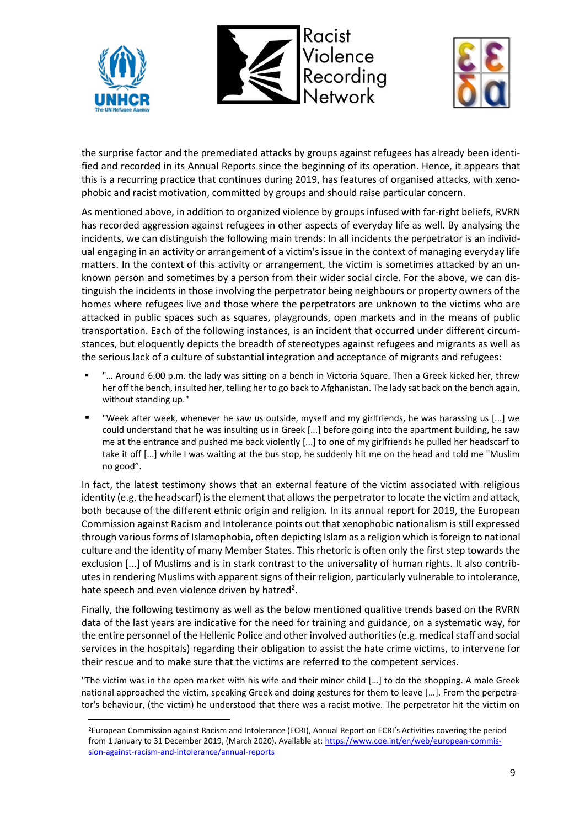





the surprise factor and the premediated attacks by groups against refugees has already been identified and recorded in its Annual Reports since the beginning of its operation. Hence, it appears that this is a recurring practice that continues during 2019, has features of organised attacks, with xenophobic and racist motivation, committed by groups and should raise particular concern.

As mentioned above, in addition to organized violence by groups infused with far-right beliefs, RVRN has recorded aggression against refugees in other aspects of everyday life as well. By analysing the incidents, we can distinguish the following main trends: In all incidents the perpetrator is an individual engaging in an activity or arrangement of a victim's issue in the context of managing everyday life matters. In the context of this activity or arrangement, the victim is sometimes attacked by an unknown person and sometimes by a person from their wider social circle. For the above, we can distinguish the incidents in those involving the perpetrator being neighbours or property owners of the homes where refugees live and those where the perpetrators are unknown to the victims who are attacked in public spaces such as squares, playgrounds, open markets and in the means of public transportation. Each of the following instances, is an incident that occurred under different circumstances, but eloquently depicts the breadth of stereotypes against refugees and migrants as well as the serious lack of a culture of substantial integration and acceptance of migrants and refugees:

- "... Around 6.00 p.m. the lady was sitting on a bench in Victoria Square. Then a Greek kicked her, threw her off the bench, insulted her, telling her to go back to Afghanistan. The lady sat back on the bench again, without standing up."
- "Week after week, whenever he saw us outside, myself and my girlfriends, he was harassing us [...] we could understand that he was insulting us in Greek [...] before going into the apartment building, he saw me at the entrance and pushed me back violently [...] to one of my girlfriends he pulled her headscarf to take it off [...] while I was waiting at the bus stop, he suddenly hit me on the head and told me "Muslim no good".

In fact, the latest testimony shows that an external feature of the victim associated with religious identity (e.g. the headscarf) is the element that allows the perpetrator to locate the victim and attack, both because of the different ethnic origin and religion. In its annual report for 2019, the European Commission against Racism and Intolerance points out that xenophobic nationalism is still expressed through various forms of Islamophobia, often depicting Islam as a religion which is foreign to national culture and the identity of many Member States. This rhetoric is often only the first step towards the exclusion [...] of Muslims and is in stark contrast to the universality of human rights. It also contributes in rendering Muslims with apparent signs of their religion, particularly vulnerable to intolerance, hate speech and even violence driven by hatred<sup>2</sup>.

Finally, the following testimony as well as the below mentioned qualitive trends based on the RVRN data of the last years are indicative for the need for training and guidance, on a systematic way, for the entire personnel of the Hellenic Police and other involved authorities(e.g. medical staff and social services in the hospitals) regarding their obligation to assist the hate crime victims, to intervene for their rescue and to make sure that the victims are referred to the competent services.

"The victim was in the open market with his wife and their minor child […] to do the shopping. A male Greek national approached the victim, speaking Greek and doing gestures for them to leave […]. From the perpetrator's behaviour, (the victim) he understood that there was a racist motive. The perpetrator hit the victim on

<sup>2</sup>European Commission against Racism and Intolerance (ECRI), Annual Report on ECRI's Activities covering the period from 1 January to 31 December 2019, (March 2020). Available at: [https://www.coe.int/en/web/european-commis](https://www.coe.int/en/web/european-commission-against-racism-and-intolerance/annual-reports)[sion-against-racism-and-intolerance/annual-reports](https://www.coe.int/en/web/european-commission-against-racism-and-intolerance/annual-reports)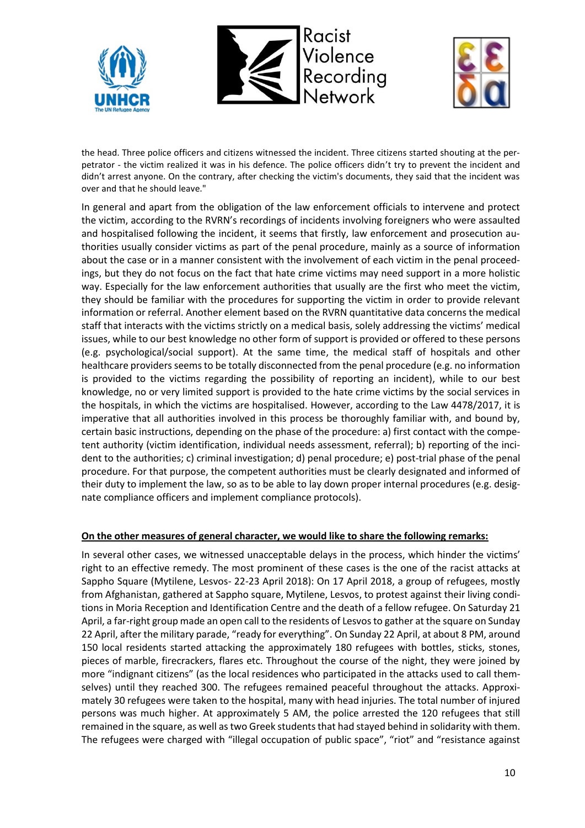





the head. Three police officers and citizens witnessed the incident. Three citizens started shouting at the perpetrator - the victim realized it was in his defence. The police officers didn't try to prevent the incident and didn't arrest anyone. On the contrary, after checking the victim's documents, they said that the incident was over and that he should leave."

In general and apart from the obligation of the law enforcement officials to intervene and protect the victim, according to the RVRN's recordings of incidents involving foreigners who were assaulted and hospitalised following the incident, it seems that firstly, law enforcement and prosecution authorities usually consider victims as part of the penal procedure, mainly as a source of information about the case or in a manner consistent with the involvement of each victim in the penal proceedings, but they do not focus on the fact that hate crime victims may need support in a more holistic way. Especially for the law enforcement authorities that usually are the first who meet the victim, they should be familiar with the procedures for supporting the victim in order to provide relevant information or referral. Another element based on the RVRN quantitative data concerns the medical staff that interacts with the victims strictly on a medical basis, solely addressing the victims' medical issues, while to our best knowledge no other form of support is provided or offered to these persons (e.g. psychological/social support). At the same time, the medical staff of hospitals and other healthcare providers seems to be totally disconnected from the penal procedure (e.g. no information is provided to the victims regarding the possibility of reporting an incident), while to our best knowledge, no or very limited support is provided to the hate crime victims by the social services in the hospitals, in which the victims are hospitalised. However, according to the Law 4478/2017, it is imperative that all authorities involved in this process be thoroughly familiar with, and bound by, certain basic instructions, depending on the phase of the procedure: a) first contact with the competent authority (victim identification, individual needs assessment, referral); b) reporting of the incident to the authorities; c) criminal investigation; d) penal procedure; e) post-trial phase of the penal procedure. For that purpose, the competent authorities must be clearly designated and informed of their duty to implement the law, so as to be able to lay down proper internal procedures (e.g. designate compliance officers and implement compliance protocols).

### **On the other measures of general character, we would like to share the following remarks:**

In several other cases, we witnessed unacceptable delays in the process, which hinder the victims' right to an effective remedy. The most prominent of these cases is the one of the racist attacks at Sappho Square (Mytilene, Lesvos- 22-23 April 2018): On 17 April 2018, a group of refugees, mostly from Afghanistan, gathered at Sappho square, Mytilene, Lesvos, to protest against their living conditions in Moria Reception and Identification Centre and the death of a fellow refugee. On Saturday 21 April, a far-right group made an open call to the residents of Lesvos to gather at the square on Sunday 22 April, after the military parade, "ready for everything". On Sunday 22 April, at about 8 PM, around 150 local residents started attacking the approximately 180 refugees with bottles, sticks, stones, pieces of marble, firecrackers, flares etc. Throughout the course of the night, they were joined by more "indignant citizens" (as the local residences who participated in the attacks used to call themselves) until they reached 300. The refugees remained peaceful throughout the attacks. Approximately 30 refugees were taken to the hospital, many with head injuries. The total number of injured persons was much higher. At approximately 5 AM, the police arrested the 120 refugees that still remained in the square, as well as two Greek students that had stayed behind in solidarity with them. The refugees were charged with "illegal occupation of public space", "riot" and "resistance against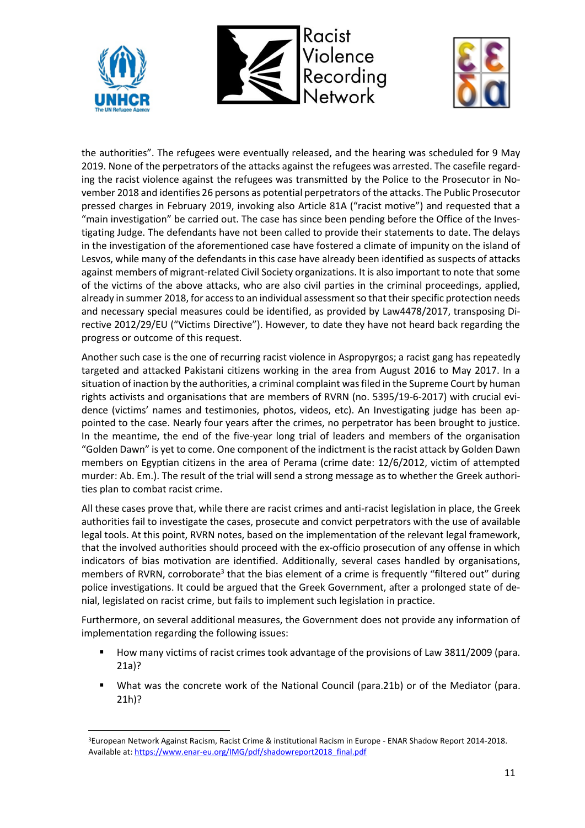





the authorities". The refugees were eventually released, and the hearing was scheduled for 9 May 2019. None of the perpetrators of the attacks against the refugees was arrested. The casefile regarding the racist violence against the refugees was transmitted by the Police to the Prosecutor in November 2018 and identifies 26 persons as potential perpetrators of the attacks. The Public Prosecutor pressed charges in February 2019, invoking also Article 81A ("racist motive") and requested that a "main investigation" be carried out. The case has since been pending before the Office of the Investigating Judge. The defendants have not been called to provide their statements to date. The delays in the investigation of the aforementioned case have fostered a climate of impunity on the island of Lesvos, while many of the defendants in this case have already been identified as suspects of attacks against members of migrant-related Civil Society organizations. It is also important to note that some of the victims of the above attacks, who are also civil parties in the criminal proceedings, applied, already in summer 2018, for access to an individual assessment so that their specific protection needs and necessary special measures could be identified, as provided by Law4478/2017, transposing Directive 2012/29/EU ("Victims Directive"). However, to date they have not heard back regarding the progress or outcome of this request.

Another such case is the one of recurring racist violence in Aspropyrgos; a racist gang has repeatedly targeted and attacked Pakistani citizens working in the area from August 2016 to May 2017. In a situation of inaction by the authorities, a criminal complaint was filed in the Supreme Court by human rights activists and organisations that are members of RVRN (no. 5395/19-6-2017) with crucial evidence (victims' names and testimonies, photos, videos, etc). An Investigating judge has been appointed to the case. Nearly four years after the crimes, no perpetrator has been brought to justice. In the meantime, the end of the five-year long trial of leaders and members of the organisation "Golden Dawn" is yet to come. One component of the indictment is the racist attack by Golden Dawn members on Egyptian citizens in the area of Perama (crime date: 12/6/2012, victim of attempted murder: Ab. Em.). The result of the trial will send a strong message as to whether the Greek authorities plan to combat racist crime.

All these cases prove that, while there are racist crimes and anti-racist legislation in place, the Greek authorities fail to investigate the cases, prosecute and convict perpetrators with the use of available legal tools. At this point, RVRN notes, based on the implementation of the relevant legal framework, that the involved authorities should proceed with the ex-officio prosecution of any offense in which indicators of bias motivation are identified. Additionally, several cases handled by organisations, members of RVRN, corroborate<sup>3</sup> that the bias element of a crime is frequently "filtered out" during police investigations. It could be argued that the Greek Government, after a prolonged state of denial, legislated on racist crime, but fails to implement such legislation in practice.

Furthermore, on several additional measures, the Government does not provide any information of implementation regarding the following issues:

- How many victims of racist crimes took advantage of the provisions of Law 3811/2009 (para. 21a)?
- What was the concrete work of the National Council (para.21b) or of the Mediator (para. 21h)?

<sup>3</sup>European Network Against Racism, Racist Crime & institutional Racism in Europe - ENAR Shadow Report 2014-2018. Available at[: https://www.enar-eu.org/IMG/pdf/shadowreport2018\\_final.pdf](https://www.enar-eu.org/IMG/pdf/shadowreport2018_final.pdf)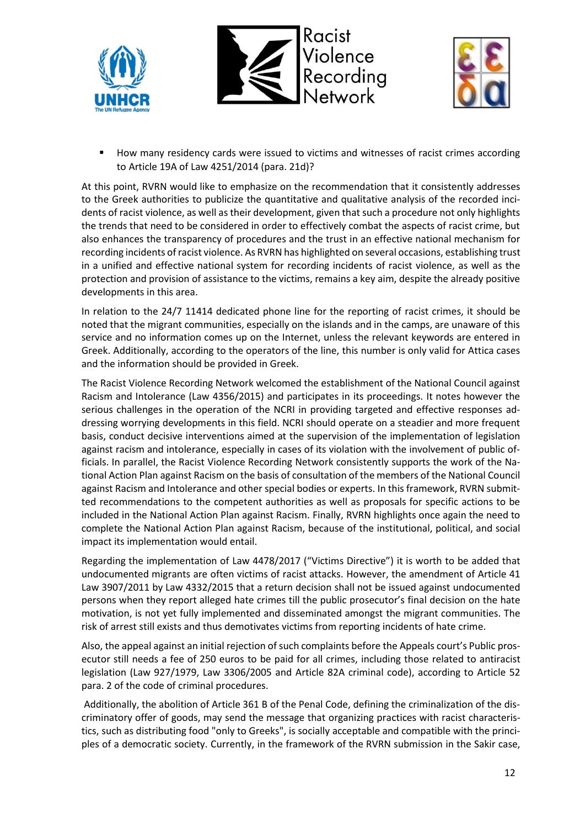





How many residency cards were issued to victims and witnesses of racist crimes according to Article 19A of Law 4251/2014 (para. 21d)?

At this point, RVRN would like to emphasize on the recommendation that it consistently addresses to the Greek authorities to publicize the quantitative and qualitative analysis of the recorded incidents of racist violence, as well as their development, given that such a procedure not only highlights the trends that need to be considered in order to effectively combat the aspects of racist crime, but also enhances the transparency of procedures and the trust in an effective national mechanism for recording incidents of racist violence. As RVRN has highlighted on several occasions, establishing trust in a unified and effective national system for recording incidents of racist violence, as well as the protection and provision of assistance to the victims, remains a key aim, despite the already positive developments in this area.

In relation to the 24/7 11414 dedicated phone line for the reporting of racist crimes, it should be noted that the migrant communities, especially on the islands and in the camps, are unaware of this service and no information comes up on the Internet, unless the relevant keywords are entered in Greek. Additionally, according to the operators of the line, this number is only valid for Attica cases and the information should be provided in Greek.

The Racist Violence Recording Network welcomed the establishment of the National Council against Racism and Intolerance (Law 4356/2015) and participates in its proceedings. It notes however the serious challenges in the operation of the NCRI in providing targeted and effective responses addressing worrying developments in this field. NCRI should operate on a steadier and more frequent basis, conduct decisive interventions aimed at the supervision of the implementation of legislation against racism and intolerance, especially in cases of its violation with the involvement of public officials. In parallel, the Racist Violence Recording Network consistently supports the work of the National Action Plan against Racism on the basis of consultation of the members of the National Council against Racism and Intolerance and other special bodies or experts. In this framework, RVRN submitted recommendations to the competent authorities as well as proposals for specific actions to be included in the National Action Plan against Racism. Finally, RVRN highlights once again the need to complete the National Action Plan against Racism, because of the institutional, political, and social impact its implementation would entail.

Regarding the implementation of Law 4478/2017 ("Victims Directive") it is worth to be added that undocumented migrants are often victims of racist attacks. However, the amendment of Article 41 Law 3907/2011 by Law 4332/2015 that a return decision shall not be issued against undocumented persons when they report alleged hate crimes till the public prosecutor's final decision on the hate motivation, is not yet fully implemented and disseminated amongst the migrant communities. The risk of arrest still exists and thus demotivates victims from reporting incidents of hate crime.

Also, the appeal against an initial rejection of such complaints before the Appeals court's Public prosecutor still needs a fee of 250 euros to be paid for all crimes, including those related to antiracist legislation (Law 927/1979, Law 3306/2005 and Article 82A criminal code), according to Article 52 para. 2 of the code of criminal procedures.

Additionally, the abolition of Article 361 B of the Penal Code, defining the criminalization of the discriminatory offer of goods, may send the message that organizing practices with racist characteristics, such as distributing food "only to Greeks", is socially acceptable and compatible with the principles of a democratic society. Currently, in the framework of the RVRN submission in the Sakir case,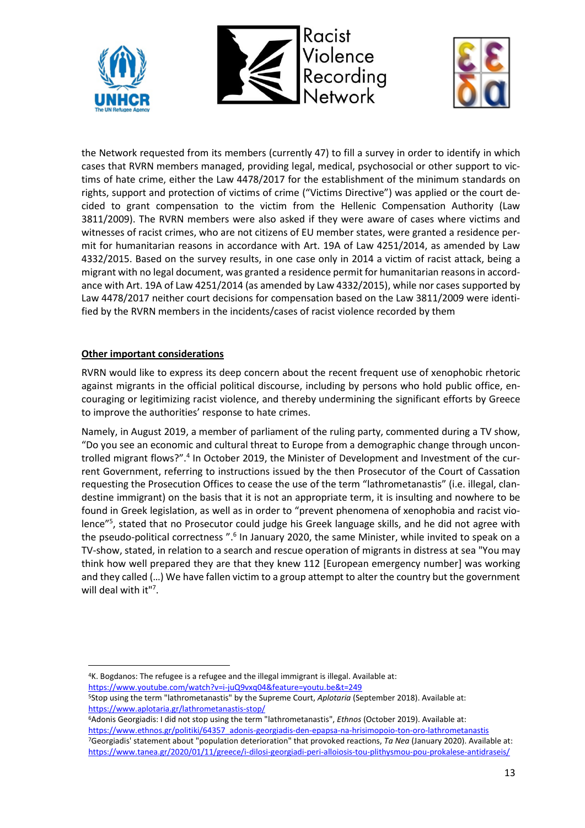





the Network requested from its members (currently 47) to fill a survey in order to identify in which cases that RVRN members managed, providing legal, medical, psychosocial or other support to victims of hate crime, either the Law 4478/2017 for the establishment of the minimum standards on rights, support and protection of victims of crime ("Victims Directive") was applied or the court decided to grant compensation to the victim from the Hellenic Compensation Authority (Law 3811/2009). The RVRN members were also asked if they were aware of cases where victims and witnesses of racist crimes, who are not citizens of EU member states, were granted a residence permit for humanitarian reasons in accordance with Art. 19A of Law 4251/2014, as amended by Law 4332/2015. Based on the survey results, in one case only in 2014 a victim of racist attack, being a migrant with no legal document, was granted a residence permit for humanitarian reasons in accordance with Art. 19A of Law 4251/2014 (as amended by Law 4332/2015), while nor cases supported by Law 4478/2017 neither court decisions for compensation based on the Law 3811/2009 were identified by the RVRN members in the incidents/cases of racist violence recorded by them

### **Other important considerations**

RVRN would like to express its deep concern about the recent frequent use of xenophobic rhetoric against migrants in the official political discourse, including by persons who hold public office, encouraging or legitimizing racist violence, and thereby undermining the significant efforts by Greece to improve the authorities' response to hate crimes.

Namely, in August 2019, a member of parliament of the ruling party, commented during a TV show, "Do you see an economic and cultural threat to Europe from a demographic change through uncontrolled migrant flows?".<sup>4</sup> In October 2019, the Minister of Development and Investment of the current Government, referring to instructions issued by the then Prosecutor of the Court of Cassation requesting the Prosecution Offices to cease the use of the term "lathrometanastis" (i.e. illegal, clandestine immigrant) on the basis that it is not an appropriate term, it is insulting and nowhere to be found in Greek legislation, as well as in order to "prevent phenomena of xenophobia and racist violence"<sup>5</sup>, stated that no Prosecutor could judge his Greek language skills, and he did not agree with the pseudo-political correctness ".<sup>6</sup> In January 2020, the same Minister, while invited to speak on a TV-show, stated, in relation to a search and rescue operation of migrants in distress at sea "You may think how well prepared they are that they knew 112 [European emergency number] was working and they called (…) We have fallen victim to a group attempt to alter the country but the government will deal with it"7.

<sup>4</sup>K. Bogdanos: The refugee is a refugee and the illegal immigrant is illegal. Available at:

<https://www.youtube.com/watch?v=i-juQ9vxq04&feature=youtu.be&t=249>

<sup>5</sup>Stop using the term "lathrometanastis" by the Supreme Court, *Aplotaria* (September 2018). Available at: <https://www.aplotaria.gr/lathrometanastis-stop/>

<sup>6</sup>Adonis Georgiadis: I did not stop using the term "lathrometanastis", *Ethnos* (October 2019). Available at: [https://www.ethnos.gr/politiki/64357\\_adonis-georgiadis-den-epapsa-na-hrisimopoio-ton-oro-lathrometanastis](https://www.ethnos.gr/politiki/64357_adonis-georgiadis-den-epapsa-na-hrisimopoio-ton-oro-lathrometanastis) <sup>7</sup>Georgiadis' statement about "population deterioration" that provoked reactions, *Ta Nea* (January 2020). Available at: <https://www.tanea.gr/2020/01/11/greece/i-dilosi-georgiadi-peri-alloiosis-tou-plithysmou-pou-prokalese-antidraseis/>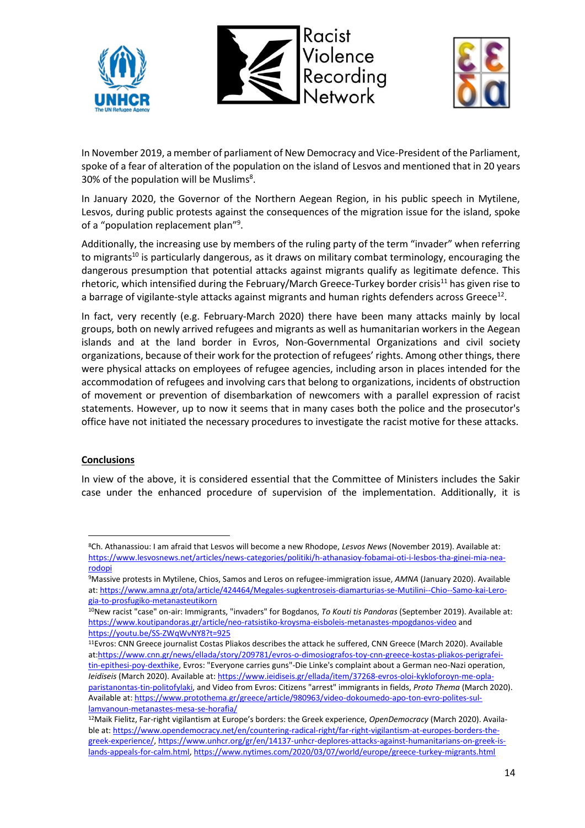





In November 2019, a member of parliament of New Democracy and Vice-President of the Parliament, spoke of a fear of alteration of the population on the island of Lesvos and mentioned that in 20 years 30% of the population will be Muslims<sup>8</sup>.

In January 2020, the Governor of the Northern Aegean Region, in his public speech in Mytilene, Lesvos, during public protests against the consequences of the migration issue for the island, spoke of a "population replacement plan"<sup>9</sup>.

Additionally, the increasing use by members of the ruling party of the term "invader" when referring to migrants<sup>10</sup> is particularly dangerous, as it draws on military combat terminology, encouraging the dangerous presumption that potential attacks against migrants qualify as legitimate defence. This rhetoric, which intensified during the February/March Greece-Turkey border crisis<sup>11</sup> has given rise to a barrage of vigilante-style attacks against migrants and human rights defenders across Greece<sup>12</sup>.

In fact, very recently (e.g. February-March 2020) there have been many attacks mainly by local groups, both on newly arrived refugees and migrants as well as humanitarian workers in the Aegean islands and at the land border in Evros, Non-Governmental Organizations and civil society organizations, because of their work for the protection of refugees' rights. Among other things, there were physical attacks on employees of refugee agencies, including arson in places intended for the accommodation of refugees and involving cars that belong to organizations, incidents of obstruction of movement or prevention of disembarkation of newcomers with a parallel expression of racist statements. However, up to now it seems that in many cases both the police and the prosecutor's office have not initiated the necessary procedures to investigate the racist motive for these attacks.

### **Conclusions**

In view of the above, it is considered essential that the Committee of Ministers includes the Sakir case under the enhanced procedure of supervision of the implementation. Additionally, it is

<sup>8</sup>Ch. Athanassiou: I am afraid that Lesvos will become a new Rhodope, *Lesvos News* (November 2019). Available at: [https://www.lesvosnews.net/articles/news-categories/politiki/h-athanasioy-fobamai-oti-i-lesbos-tha-ginei-mia-nea](https://www.lesvosnews.net/articles/news-categories/politiki/h-athanasioy-fobamai-oti-i-lesbos-tha-ginei-mia-nea-rodopi)[rodopi](https://www.lesvosnews.net/articles/news-categories/politiki/h-athanasioy-fobamai-oti-i-lesbos-tha-ginei-mia-nea-rodopi)

<sup>9</sup>Massive protests in Mytilene, Chios, Samos and Leros on refugee-immigration issue, *AMNA* (January 2020). Available at: [https://www.amna.gr/ota/article/424464/Megales-sugkentroseis-diamarturias-se-Mutilini--Chio--Samo-kai-Lero](https://www.amna.gr/ota/article/424464/Megales-sugkentroseis-diamarturias-se-Mutilini--Chio--Samo-kai-Lero-gia-to-prosfugiko-metanasteutikorn)[gia-to-prosfugiko-metanasteutikorn](https://www.amna.gr/ota/article/424464/Megales-sugkentroseis-diamarturias-se-Mutilini--Chio--Samo-kai-Lero-gia-to-prosfugiko-metanasteutikorn)

<sup>10</sup>New racist "case" on-air: Immigrants, "invaders" for Bogdanos, *To Kouti tis Pandoras* (September 2019). Available at: <https://www.koutipandoras.gr/article/neo-ratsistiko-kroysma-eisboleis-metanastes-mpogdanos-video> and <https://youtu.be/SS-ZWqWvNY8?t=925>

<sup>11</sup>Evros: CNN Greece journalist Costas Pliakos describes the attack he suffered, CNN Greece (March 2020). Available a[t:https://www.cnn.gr/news/ellada/story/209781/evros-o-dimosiografos-toy-cnn-greece-kostas-pliakos-perigrafei](https://www.cnn.gr/news/ellada/story/209781/evros-o-dimosiografos-toy-cnn-greece-kostas-pliakos-perigrafei-tin-epithesi-poy-dexthike)[tin-epithesi-poy-dexthike,](https://www.cnn.gr/news/ellada/story/209781/evros-o-dimosiografos-toy-cnn-greece-kostas-pliakos-perigrafei-tin-epithesi-poy-dexthike) Evros: "Everyone carries guns"-Die Linke's complaint about a German neo-Nazi operation, *Ieidiseis* (March 2020). Available at: [https://www.ieidiseis.gr/ellada/item/37268-evros-oloi-kykloforoyn-me-opla](https://www.ieidiseis.gr/ellada/item/37268-evros-oloi-kykloforoyn-me-opla-paristanontas-tin-politofylaki)[paristanontas-tin-politofylaki,](https://www.ieidiseis.gr/ellada/item/37268-evros-oloi-kykloforoyn-me-opla-paristanontas-tin-politofylaki) and Video from Evros: Citizens "arrest" immigrants in fields, *Proto Thema* (March 2020). Available at: https://www.protothema.gr/greece/article/980963/video-dokoumedo-apo-ton-evro-polites-sullamvanoun-metanastes-mesa-se-horafia/

<sup>12</sup>Maik Fielitz, Far-right vigilantism at Europe's borders: the Greek experience, *OpenDemocracy* (March 2020). Available at: [https://www.opendemocracy.net/en/countering-radical-right/far-right-vigilantism-at-europes-borders-the](https://www.opendemocracy.net/en/countering-radical-right/far-right-vigilantism-at-europes-borders-the-greek-experience/)[greek-experience/,](https://www.opendemocracy.net/en/countering-radical-right/far-right-vigilantism-at-europes-borders-the-greek-experience/) [https://www.unhcr.org/gr/en/14137-unhcr-deplores-attacks-against-humanitarians-on-greek-is](https://www.unhcr.org/gr/en/14137-unhcr-deplores-attacks-against-humanitarians-on-greek-islands-appeals-for-calm.html)[lands-appeals-for-calm.html,](https://www.unhcr.org/gr/en/14137-unhcr-deplores-attacks-against-humanitarians-on-greek-islands-appeals-for-calm.html)<https://www.nytimes.com/2020/03/07/world/europe/greece-turkey-migrants.html>